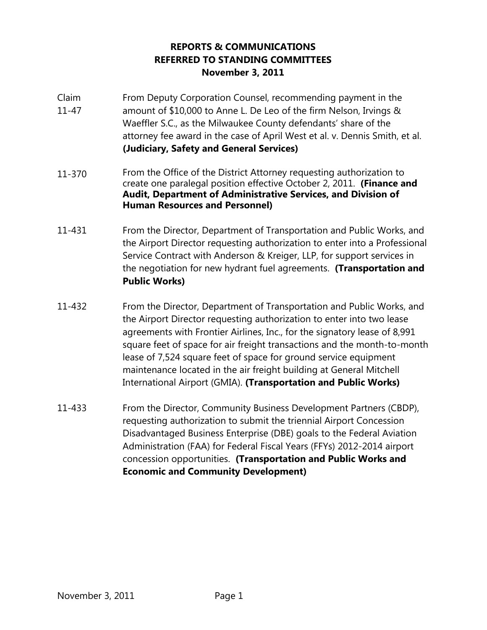## **REPORTS & COMMUNICATIONS REFERRED TO STANDING COMMITTEES November 3, 2011**

- Claim 11-47 From Deputy Corporation Counsel, recommending payment in the amount of \$10,000 to Anne L. De Leo of the firm Nelson, Irvings & Waeffler S.C., as the Milwaukee County defendants' share of the attorney fee award in the case of April West et al. v. Dennis Smith, et al. **(Judiciary, Safety and General Services)**
- 11-370 From the Office of the District Attorney requesting authorization to create one paralegal position effective October 2, 2011. **(Finance and Audit, Department of Administrative Services, and Division of Human Resources and Personnel)**
- 11-431 From the Director, Department of Transportation and Public Works, and the Airport Director requesting authorization to enter into a Professional Service Contract with Anderson & Kreiger, LLP, for support services in the negotiation for new hydrant fuel agreements. **(Transportation and Public Works)**
- 11-432 From the Director, Department of Transportation and Public Works, and the Airport Director requesting authorization to enter into two lease agreements with Frontier Airlines, Inc., for the signatory lease of 8,991 square feet of space for air freight transactions and the month-to-month lease of 7,524 square feet of space for ground service equipment maintenance located in the air freight building at General Mitchell International Airport (GMIA). **(Transportation and Public Works)**
- 11-433 From the Director, Community Business Development Partners (CBDP), requesting authorization to submit the triennial Airport Concession Disadvantaged Business Enterprise (DBE) goals to the Federal Aviation Administration (FAA) for Federal Fiscal Years (FFYs) 2012-2014 airport concession opportunities. **(Transportation and Public Works and Economic and Community Development)**